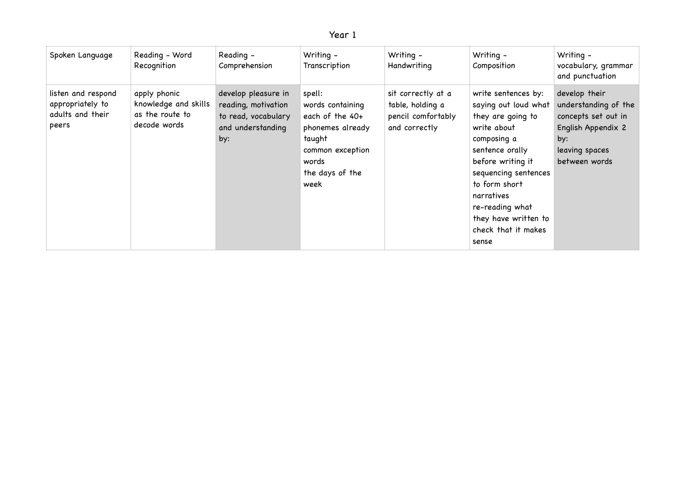## Year 1

| Spoken Language                                                     | Reading - Word<br>Recognition                                           | Reading -<br>Comprehension                                                                    | Writing -<br>Transcription                                                                                                          | Writing -<br>Handwriting                                                      | Writing -<br>Composition                                                                                                                                                                                                                                                 | Writing -<br>vocabulary, grammar<br>and punctuation                                                                          |
|---------------------------------------------------------------------|-------------------------------------------------------------------------|-----------------------------------------------------------------------------------------------|-------------------------------------------------------------------------------------------------------------------------------------|-------------------------------------------------------------------------------|--------------------------------------------------------------------------------------------------------------------------------------------------------------------------------------------------------------------------------------------------------------------------|------------------------------------------------------------------------------------------------------------------------------|
| listen and respond<br>appropriately to<br>adults and their<br>peers | apply phonic<br>knowledge and skills<br>as the route to<br>decode words | develop pleasure in<br>reading, motivation<br>to read, vocabulary<br>and understanding<br>by: | spell:<br>words containing<br>each of the 40+<br>phonemes already<br>taught<br>common exception<br>words<br>the days of the<br>week | sit correctly at a<br>table, holding a<br>pencil comfortably<br>and correctly | write sentences by:<br>saying out loud what<br>they are going to<br>write about<br>composing a<br>sentence orally<br>before writing it<br>sequencing sentences<br>to form short<br>narratives<br>re-reading what<br>they have written to<br>check that it makes<br>sense | develop their<br>understanding of the<br>concepts set out in<br>English Appendix 2<br>by:<br>leaving spaces<br>between words |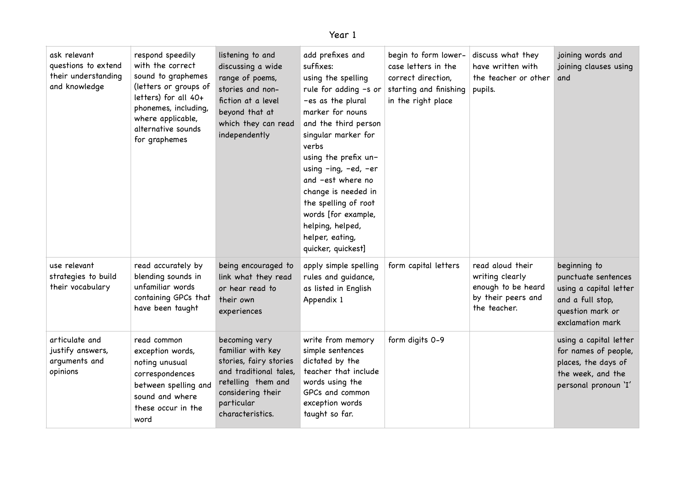| π<br>. پ |  |
|----------|--|
|----------|--|

| ask relevant<br>questions to extend<br>their understanding<br>and knowledge | respond speedily<br>with the correct<br>sound to graphemes<br>(letters or groups of<br>letters) for all 40+<br>phonemes, including,<br>where applicable,<br>alternative sounds<br>for graphemes | listening to and<br>discussing a wide<br>range of poems,<br>stories and non-<br>fiction at a level<br>beyond that at<br>which they can read<br>independently        | add prefixes and<br>suffixes:<br>using the spelling<br>-es as the plural<br>marker for nouns<br>and the third person<br>singular marker for<br>verbs<br>using the prefix un-<br>using -ing, -ed, -er<br>and -est where no<br>change is needed in<br>the spelling of root<br>words [for example,<br>helping, helped,<br>helper, eating,<br>quicker, quickest] | begin to form lower-<br>case letters in the<br>correct direction,<br>rule for adding $-s$ or starting and finishing<br>in the right place | discuss what they<br>have written with<br>the teacher or other<br>pupils.                       | joining words and<br>joining clauses using<br>and                                                                         |
|-----------------------------------------------------------------------------|-------------------------------------------------------------------------------------------------------------------------------------------------------------------------------------------------|---------------------------------------------------------------------------------------------------------------------------------------------------------------------|--------------------------------------------------------------------------------------------------------------------------------------------------------------------------------------------------------------------------------------------------------------------------------------------------------------------------------------------------------------|-------------------------------------------------------------------------------------------------------------------------------------------|-------------------------------------------------------------------------------------------------|---------------------------------------------------------------------------------------------------------------------------|
| use relevant<br>strategies to build<br>their vocabulary                     | read accurately by<br>blending sounds in<br>unfamiliar words<br>containing GPCs that<br>have been taught                                                                                        | being encouraged to<br>link what they read<br>or hear read to<br>their own<br>experiences                                                                           | apply simple spelling<br>rules and guidance,<br>as listed in English<br>Appendix 1                                                                                                                                                                                                                                                                           | form capital letters                                                                                                                      | read aloud their<br>writing clearly<br>enough to be heard<br>by their peers and<br>the teacher. | beginning to<br>punctuate sentences<br>using a capital letter<br>and a full stop,<br>question mark or<br>exclamation mark |
| articulate and<br>justify answers,<br>arguments and<br>opinions             | read common<br>exception words,<br>noting unusual<br>correspondences<br>between spelling and<br>sound and where<br>these occur in the<br>word                                                   | becoming very<br>familiar with key<br>stories, fairy stories<br>and traditional tales,<br>retelling them and<br>considering their<br>particular<br>characteristics. | write from memory<br>simple sentences<br>dictated by the<br>teacher that include<br>words using the<br>GPCs and common<br>exception words<br>taught so far.                                                                                                                                                                                                  | form digits 0-9                                                                                                                           |                                                                                                 | using a capital letter<br>for names of people,<br>places, the days of<br>the week, and the<br>personal pronoun 'I'        |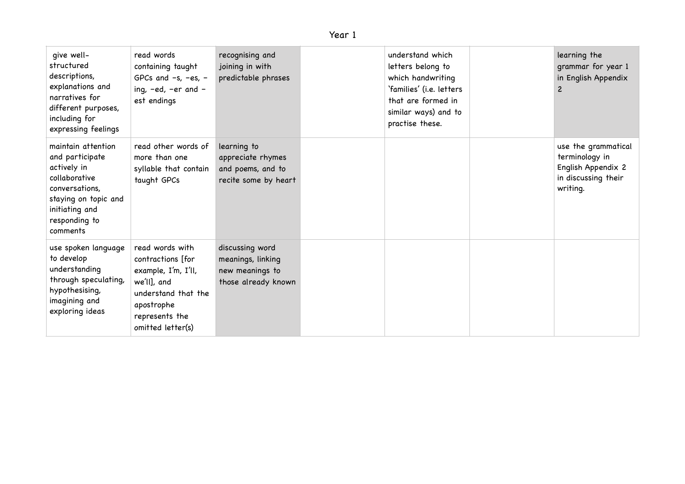| qive well-<br>structured<br>descriptions,<br>explanations and<br>narratives for<br>different purposes,<br>including for<br>expressing feelings                 | read words<br>containing taught<br>GPCs and $-s$ , $-es$ , $-$<br>ing, -ed, -er and -<br>est endings                                                   | recognising and<br>joining in with<br>predictable phrases                      | understand which<br>letters belong to<br>which handwriting<br>'families' (i.e. letters<br>that are formed in<br>similar ways) and to<br>practise these. | learning the<br>grammar for year 1<br>in English Appendix<br>$\overline{c}$                    |
|----------------------------------------------------------------------------------------------------------------------------------------------------------------|--------------------------------------------------------------------------------------------------------------------------------------------------------|--------------------------------------------------------------------------------|---------------------------------------------------------------------------------------------------------------------------------------------------------|------------------------------------------------------------------------------------------------|
| maintain attention<br>and participate<br>actively in<br>collaborative<br>conversations,<br>staying on topic and<br>initiating and<br>responding to<br>comments | read other words of<br>more than one<br>syllable that contain<br>taught GPCs                                                                           | learning to<br>appreciate rhymes<br>and poems, and to<br>recite some by heart  |                                                                                                                                                         | use the grammatical<br>terminology in<br>English Appendix 2<br>in discussing their<br>writing. |
| use spoken language<br>to develop<br>understanding<br>through speculating,<br>hypothesising,<br>imagining and<br>exploring ideas                               | read words with<br>contractions [for<br>example, I'm, I'll,<br>we'll], and<br>understand that the<br>apostrophe<br>represents the<br>omitted letter(s) | discussing word<br>meanings, linking<br>new meanings to<br>those already known |                                                                                                                                                         |                                                                                                |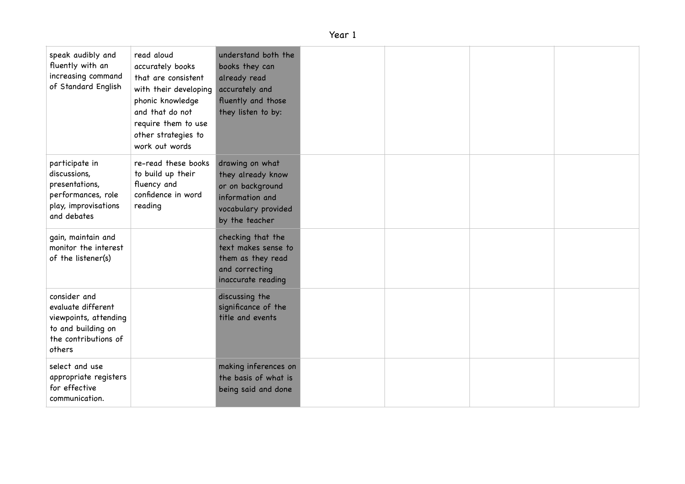## Year 1

| speak audibly and<br>fluently with an<br>increasing command<br>of Standard English                                  | read aloud<br>accurately books<br>that are consistent<br>with their developing<br>phonic knowledge<br>and that do not<br>require them to use<br>other strategies to<br>work out words | understand both the<br>books they can<br>already read<br>accurately and<br>fluently and those<br>they listen to by:  |  |  |
|---------------------------------------------------------------------------------------------------------------------|---------------------------------------------------------------------------------------------------------------------------------------------------------------------------------------|----------------------------------------------------------------------------------------------------------------------|--|--|
| participate in<br>discussions,<br>presentations,<br>performances, role<br>play, improvisations<br>and debates       | re-read these books<br>to build up their<br>fluency and<br>confidence in word<br>reading                                                                                              | drawing on what<br>they already know<br>or on background<br>information and<br>vocabulary provided<br>by the teacher |  |  |
| gain, maintain and<br>monitor the interest<br>of the listener(s)                                                    |                                                                                                                                                                                       | checking that the<br>text makes sense to<br>them as they read<br>and correcting<br>inaccurate reading                |  |  |
| consider and<br>evaluate different<br>viewpoints, attending<br>to and building on<br>the contributions of<br>others |                                                                                                                                                                                       | discussing the<br>significance of the<br>title and events                                                            |  |  |
| select and use<br>appropriate registers<br>for effective<br>communication.                                          |                                                                                                                                                                                       | making inferences on<br>the basis of what is<br>being said and done                                                  |  |  |